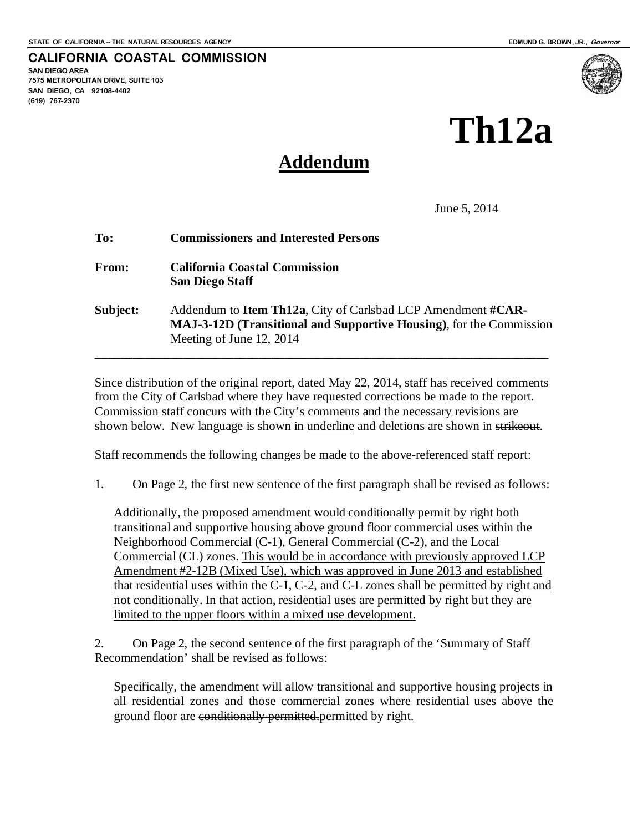#### **CALIFORNIA COASTAL COMMISSION SAN DIEGO AREA 7575 METROPOLITAN DRIVE, SUITE 103 SAN DIEGO, CA 92108-4402 (619) 767-2370**

**Th12a**

## **Addendum**

June 5, 2014

| To:          | <b>Commissioners and Interested Persons</b>                                                                                                                                           |
|--------------|---------------------------------------------------------------------------------------------------------------------------------------------------------------------------------------|
| <b>From:</b> | <b>California Coastal Commission</b><br><b>San Diego Staff</b>                                                                                                                        |
| Subject:     | Addendum to <b>Item Th12a</b> , City of Carlsbad LCP Amendment # <b>CAR</b><br><b>MAJ-3-12D (Transitional and Supportive Housing), for the Commission</b><br>Meeting of June 12, 2014 |

Since distribution of the original report, dated May 22, 2014, staff has received comments from the City of Carlsbad where they have requested corrections be made to the report. Commission staff concurs with the City's comments and the necessary revisions are shown below. New language is shown in <u>underline</u> and deletions are shown in strikeout.

Staff recommends the following changes be made to the above-referenced staff report:

1. On Page 2, the first new sentence of the first paragraph shall be revised as follows:

Additionally, the proposed amendment would conditionally permit by right both transitional and supportive housing above ground floor commercial uses within the Neighborhood Commercial (C-1), General Commercial (C-2), and the Local Commercial (CL) zones. This would be in accordance with previously approved LCP Amendment #2-12B (Mixed Use), which was approved in June 2013 and established that residential uses within the C-1, C-2, and C-L zones shall be permitted by right and not conditionally. In that action, residential uses are permitted by right but they are limited to the upper floors within a mixed use development.

2. On Page 2, the second sentence of the first paragraph of the 'Summary of Staff Recommendation' shall be revised as follows:

Specifically, the amendment will allow transitional and supportive housing projects in all residential zones and those commercial zones where residential uses above the ground floor are conditionally permitted.permitted by right.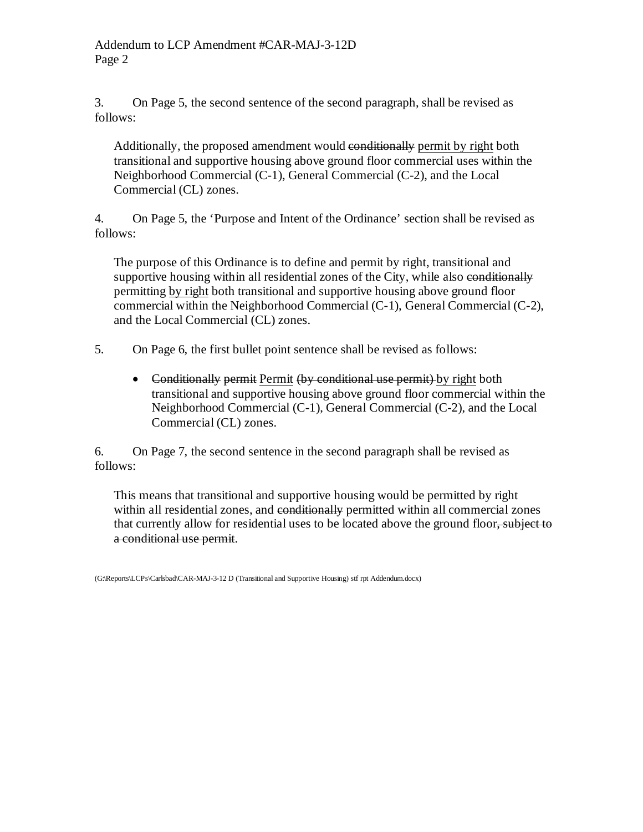3. On Page 5, the second sentence of the second paragraph, shall be revised as follows:

Additionally, the proposed amendment would conditionally permit by right both transitional and supportive housing above ground floor commercial uses within the Neighborhood Commercial (C-1), General Commercial (C-2), and the Local Commercial (CL) zones.

4. On Page 5, the 'Purpose and Intent of the Ordinance' section shall be revised as follows:

The purpose of this Ordinance is to define and permit by right, transitional and supportive housing within all residential zones of the City, while also conditionally permitting by right both transitional and supportive housing above ground floor commercial within the Neighborhood Commercial (C-1), General Commercial (C-2), and the Local Commercial (CL) zones.

5. On Page 6, the first bullet point sentence shall be revised as follows:

• Conditionally permit Permit (by conditional use permit) by right both transitional and supportive housing above ground floor commercial within the Neighborhood Commercial (C-1), General Commercial (C-2), and the Local Commercial (CL) zones.

6. On Page 7, the second sentence in the second paragraph shall be revised as follows:

This means that transitional and supportive housing would be permitted by right within all residential zones, and conditionally permitted within all commercial zones that currently allow for residential uses to be located above the ground floor, subject to a conditional use permit.

(G:\Reports\LCPs\Carlsbad\CAR-MAJ-3-12 D (Transitional and Supportive Housing) stf rpt Addendum.docx)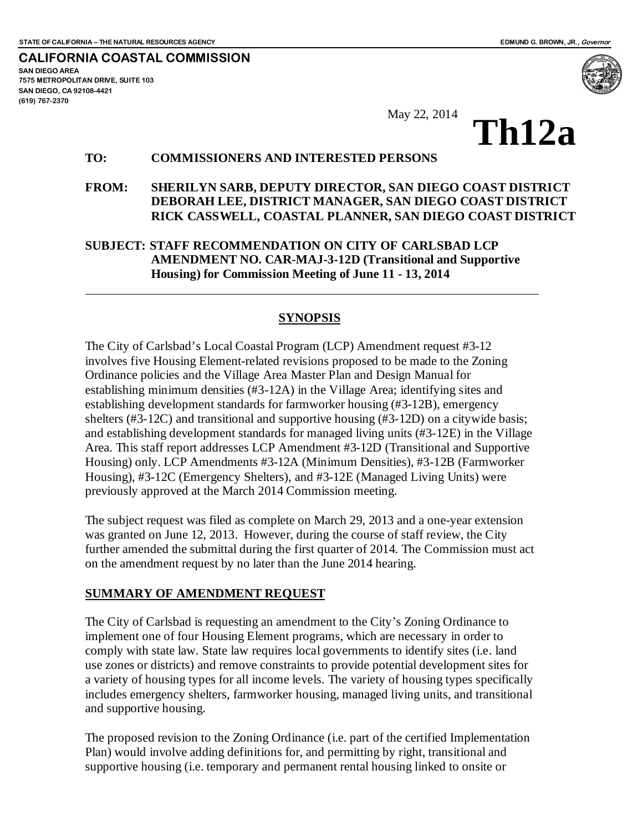**7575 METROPOLITAN DRIVE, SUITE 103**

**SAN DIEGO AREA**

**(619) 767-2370**

**SAN DIEGO, CA 92108-4421**

**CALIFORNIA COASTAL COMMISSION**

May 22, 2014<br>**Th12a** 

#### **TO: COMMISSIONERS AND INTERESTED PERSONS**

#### **FROM: SHERILYN SARB, DEPUTY DIRECTOR, SAN DIEGO COAST DISTRICT DEBORAH LEE, DISTRICT MANAGER, SAN DIEGO COAST DISTRICT RICK CASSWELL, COASTAL PLANNER, SAN DIEGO COAST DISTRICT**

#### **SUBJECT: STAFF RECOMMENDATION ON CITY OF CARLSBAD LCP AMENDMENT NO. CAR-MAJ-3-12D (Transitional and Supportive Housing) for Commission Meeting of June 11 - 13, 2014**

#### **SYNOPSIS**

The City of Carlsbad's Local Coastal Program (LCP) Amendment request #3-12 involves five Housing Element-related revisions proposed to be made to the Zoning Ordinance policies and the Village Area Master Plan and Design Manual for establishing minimum densities (#3-12A) in the Village Area; identifying sites and establishing development standards for farmworker housing (#3-12B), emergency shelters (#3-12C) and transitional and supportive housing (#3-12D) on a citywide basis; and establishing development standards for managed living units (#3-12E) in the Village Area. This staff report addresses LCP Amendment #3-12D (Transitional and Supportive Housing) only. LCP Amendments #3-12A (Minimum Densities), #3-12B (Farmworker Housing), #3-12C (Emergency Shelters), and #3-12E (Managed Living Units) were previously approved at the March 2014 Commission meeting.

The subject request was filed as complete on March 29, 2013 and a one-year extension was granted on June 12, 2013. However, during the course of staff review, the City further amended the submittal during the first quarter of 2014. The Commission must act on the amendment request by no later than the June 2014 hearing.

#### **SUMMARY OF AMENDMENT REQUEST**

The City of Carlsbad is requesting an amendment to the City's Zoning Ordinance to implement one of four Housing Element programs, which are necessary in order to comply with state law. State law requires local governments to identify sites (i.e. land use zones or districts) and remove constraints to provide potential development sites for a variety of housing types for all income levels. The variety of housing types specifically includes emergency shelters, farmworker housing, managed living units, and transitional and supportive housing.

The proposed revision to the Zoning Ordinance (i.e. part of the certified Implementation Plan) would involve adding definitions for, and permitting by right, transitional and supportive housing (i.e. temporary and permanent rental housing linked to onsite or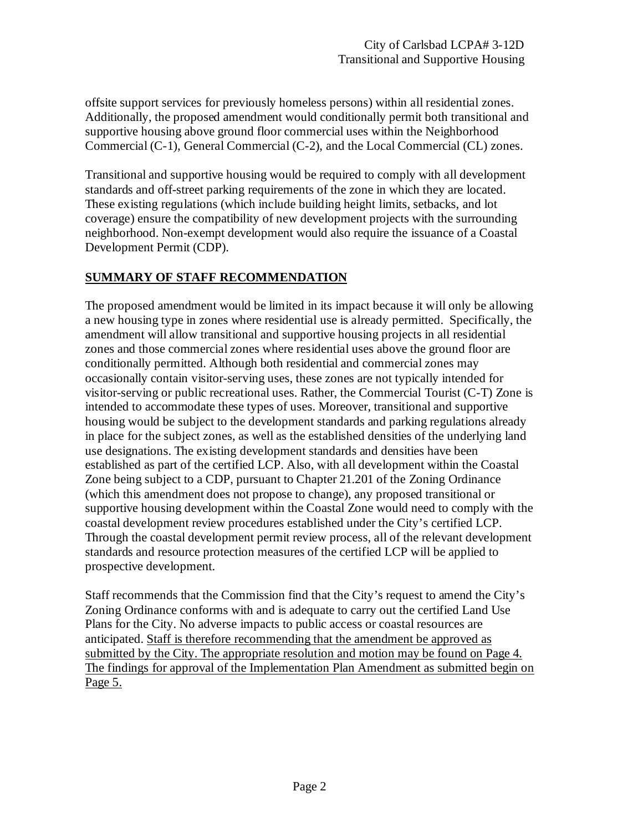offsite support services for previously homeless persons) within all residential zones. Additionally, the proposed amendment would conditionally permit both transitional and supportive housing above ground floor commercial uses within the Neighborhood Commercial (C-1), General Commercial (C-2), and the Local Commercial (CL) zones.

Transitional and supportive housing would be required to comply with all development standards and off-street parking requirements of the zone in which they are located. These existing regulations (which include building height limits, setbacks, and lot coverage) ensure the compatibility of new development projects with the surrounding neighborhood. Non-exempt development would also require the issuance of a Coastal Development Permit (CDP).

#### **SUMMARY OF STAFF RECOMMENDATION**

The proposed amendment would be limited in its impact because it will only be allowing a new housing type in zones where residential use is already permitted. Specifically, the amendment will allow transitional and supportive housing projects in all residential zones and those commercial zones where residential uses above the ground floor are conditionally permitted. Although both residential and commercial zones may occasionally contain visitor-serving uses, these zones are not typically intended for visitor-serving or public recreational uses. Rather, the Commercial Tourist (C-T) Zone is intended to accommodate these types of uses. Moreover, transitional and supportive housing would be subject to the development standards and parking regulations already in place for the subject zones, as well as the established densities of the underlying land use designations. The existing development standards and densities have been established as part of the certified LCP. Also, with all development within the Coastal Zone being subject to a CDP, pursuant to Chapter 21.201 of the Zoning Ordinance (which this amendment does not propose to change), any proposed transitional or supportive housing development within the Coastal Zone would need to comply with the coastal development review procedures established under the City's certified LCP. Through the coastal development permit review process, all of the relevant development standards and resource protection measures of the certified LCP will be applied to prospective development.

Staff recommends that the Commission find that the City's request to amend the City's Zoning Ordinance conforms with and is adequate to carry out the certified Land Use Plans for the City. No adverse impacts to public access or coastal resources are anticipated. Staff is therefore recommending that the amendment be approved as submitted by the City. The appropriate resolution and motion may be found on Page 4. The findings for approval of the Implementation Plan Amendment as submitted begin on Page 5.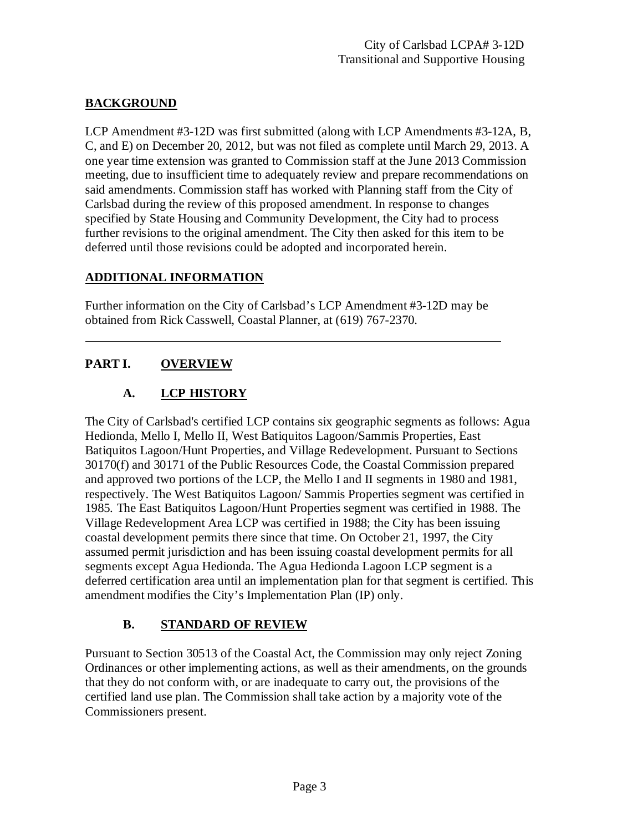#### **BACKGROUND**

LCP Amendment #3-12D was first submitted (along with LCP Amendments #3-12A, B, C, and E) on December 20, 2012, but was not filed as complete until March 29, 2013. A one year time extension was granted to Commission staff at the June 2013 Commission meeting, due to insufficient time to adequately review and prepare recommendations on said amendments. Commission staff has worked with Planning staff from the City of Carlsbad during the review of this proposed amendment. In response to changes specified by State Housing and Community Development, the City had to process further revisions to the original amendment. The City then asked for this item to be deferred until those revisions could be adopted and incorporated herein.

#### **ADDITIONAL INFORMATION**

Further information on the City of Carlsbad's LCP Amendment #3-12D may be obtained from Rick Casswell, Coastal Planner, at (619) 767-2370.

#### **PART I. OVERVIEW**

#### **A. LCP HISTORY**

The City of Carlsbad's certified LCP contains six geographic segments as follows: Agua Hedionda, Mello I, Mello II, West Batiquitos Lagoon/Sammis Properties, East Batiquitos Lagoon/Hunt Properties, and Village Redevelopment. Pursuant to Sections 30170(f) and 30171 of the Public Resources Code, the Coastal Commission prepared and approved two portions of the LCP, the Mello I and II segments in 1980 and 1981, respectively. The West Batiquitos Lagoon/ Sammis Properties segment was certified in 1985. The East Batiquitos Lagoon/Hunt Properties segment was certified in 1988. The Village Redevelopment Area LCP was certified in 1988; the City has been issuing coastal development permits there since that time. On October 21, 1997, the City assumed permit jurisdiction and has been issuing coastal development permits for all segments except Agua Hedionda. The Agua Hedionda Lagoon LCP segment is a deferred certification area until an implementation plan for that segment is certified. This amendment modifies the City's Implementation Plan (IP) only.

#### **B. STANDARD OF REVIEW**

Pursuant to Section 30513 of the Coastal Act, the Commission may only reject Zoning Ordinances or other implementing actions, as well as their amendments, on the grounds that they do not conform with, or are inadequate to carry out, the provisions of the certified land use plan. The Commission shall take action by a majority vote of the Commissioners present.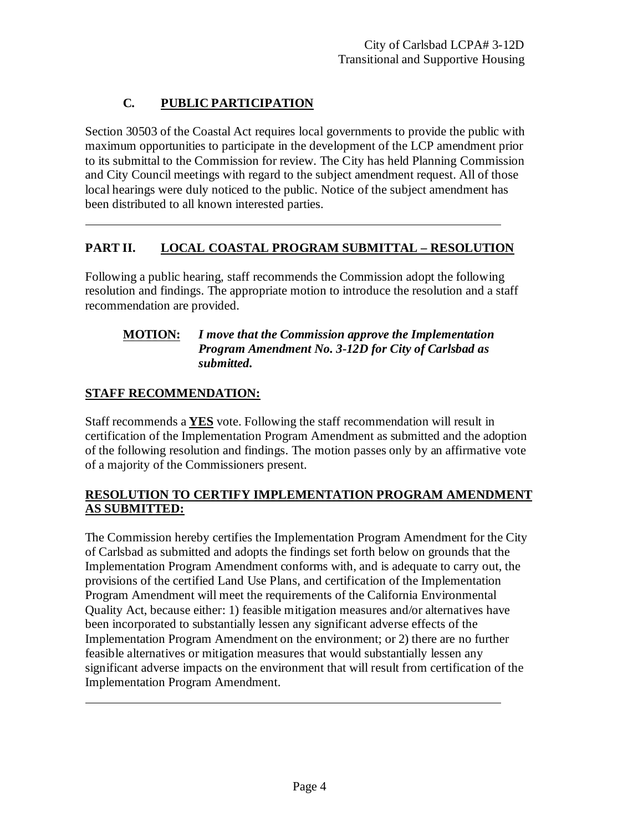### **C. PUBLIC PARTICIPATION**

Section 30503 of the Coastal Act requires local governments to provide the public with maximum opportunities to participate in the development of the LCP amendment prior to its submittal to the Commission for review. The City has held Planning Commission and City Council meetings with regard to the subject amendment request. All of those local hearings were duly noticed to the public. Notice of the subject amendment has been distributed to all known interested parties.

#### **PART II. LOCAL COASTAL PROGRAM SUBMITTAL – RESOLUTION**

Following a public hearing, staff recommends the Commission adopt the following resolution and findings. The appropriate motion to introduce the resolution and a staff recommendation are provided.

#### **MOTION:** *I move that the Commission approve the Implementation Program Amendment No. 3-12D for City of Carlsbad as submitted.*

#### **STAFF RECOMMENDATION:**

Staff recommends a **YES** vote. Following the staff recommendation will result in certification of the Implementation Program Amendment as submitted and the adoption of the following resolution and findings. The motion passes only by an affirmative vote of a majority of the Commissioners present.

#### **RESOLUTION TO CERTIFY IMPLEMENTATION PROGRAM AMENDMENT AS SUBMITTED:**

The Commission hereby certifies the Implementation Program Amendment for the City of Carlsbad as submitted and adopts the findings set forth below on grounds that the Implementation Program Amendment conforms with, and is adequate to carry out, the provisions of the certified Land Use Plans, and certification of the Implementation Program Amendment will meet the requirements of the California Environmental Quality Act, because either: 1) feasible mitigation measures and/or alternatives have been incorporated to substantially lessen any significant adverse effects of the Implementation Program Amendment on the environment; or 2) there are no further feasible alternatives or mitigation measures that would substantially lessen any significant adverse impacts on the environment that will result from certification of the Implementation Program Amendment.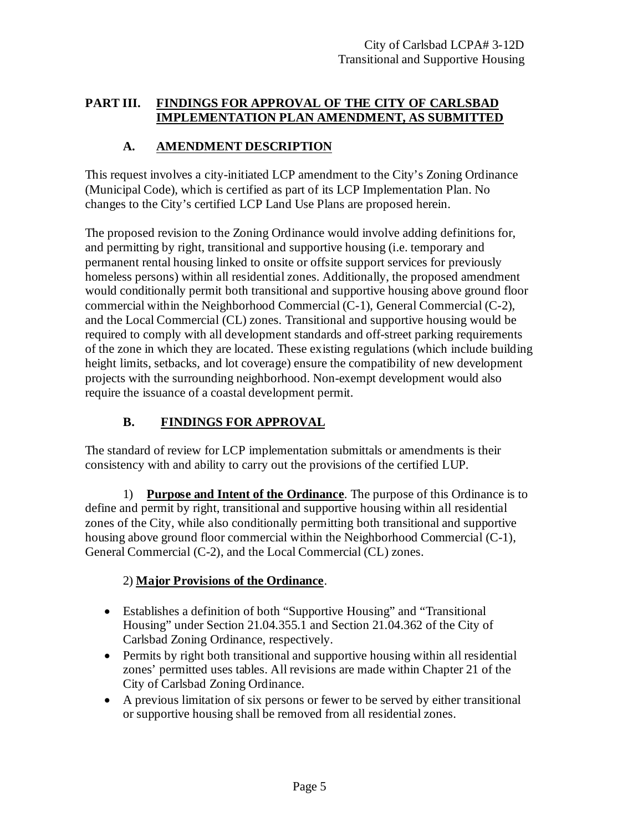#### **PART III. FINDINGS FOR APPROVAL OF THE CITY OF CARLSBAD IMPLEMENTATION PLAN AMENDMENT, AS SUBMITTED**

#### **A. AMENDMENT DESCRIPTION**

This request involves a city-initiated LCP amendment to the City's Zoning Ordinance (Municipal Code), which is certified as part of its LCP Implementation Plan. No changes to the City's certified LCP Land Use Plans are proposed herein.

The proposed revision to the Zoning Ordinance would involve adding definitions for, and permitting by right, transitional and supportive housing (i.e. temporary and permanent rental housing linked to onsite or offsite support services for previously homeless persons) within all residential zones. Additionally, the proposed amendment would conditionally permit both transitional and supportive housing above ground floor commercial within the Neighborhood Commercial (C-1), General Commercial (C-2), and the Local Commercial (CL) zones. Transitional and supportive housing would be required to comply with all development standards and off-street parking requirements of the zone in which they are located. These existing regulations (which include building height limits, setbacks, and lot coverage) ensure the compatibility of new development projects with the surrounding neighborhood. Non-exempt development would also require the issuance of a coastal development permit.

#### **B. FINDINGS FOR APPROVAL**

The standard of review for LCP implementation submittals or amendments is their consistency with and ability to carry out the provisions of the certified LUP.

1) **Purpose and Intent of the Ordinance**. The purpose of this Ordinance is to define and permit by right, transitional and supportive housing within all residential zones of the City, while also conditionally permitting both transitional and supportive housing above ground floor commercial within the Neighborhood Commercial (C-1), General Commercial (C-2), and the Local Commercial (CL) zones.

#### 2) **Major Provisions of the Ordinance**.

- Establishes a definition of both "Supportive Housing" and "Transitional Housing" under Section 21.04.355.1 and Section 21.04.362 of the City of Carlsbad Zoning Ordinance, respectively.
- Permits by right both transitional and supportive housing within all residential zones' permitted uses tables. All revisions are made within Chapter 21 of the City of Carlsbad Zoning Ordinance.
- A previous limitation of six persons or fewer to be served by either transitional or supportive housing shall be removed from all residential zones.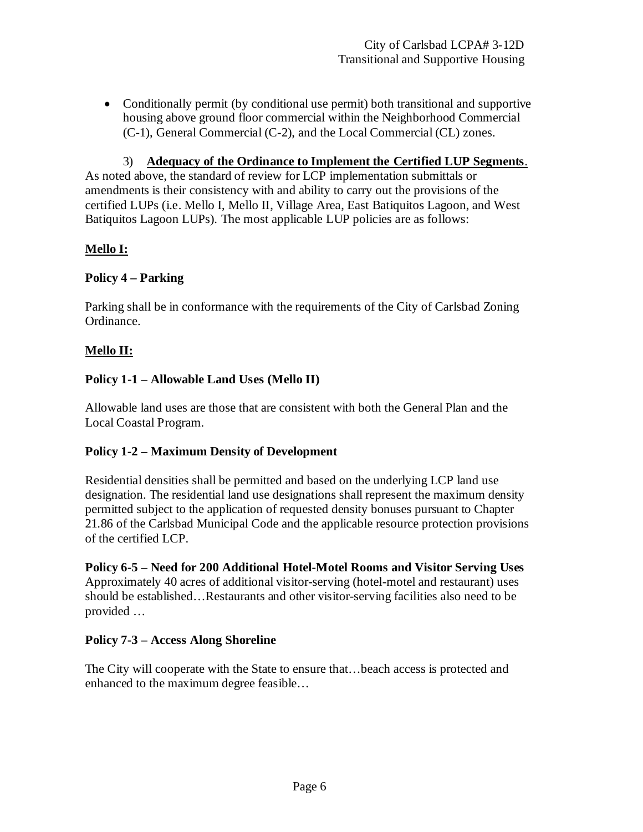• Conditionally permit (by conditional use permit) both transitional and supportive housing above ground floor commercial within the Neighborhood Commercial (C-1), General Commercial (C-2), and the Local Commercial (CL) zones.

3) **Adequacy of the Ordinance to Implement the Certified LUP Segments**.

As noted above, the standard of review for LCP implementation submittals or amendments is their consistency with and ability to carry out the provisions of the certified LUPs (i.e. Mello I, Mello II, Village Area, East Batiquitos Lagoon, and West Batiquitos Lagoon LUPs). The most applicable LUP policies are as follows:

#### **Mello I:**

#### **Policy 4 – Parking**

Parking shall be in conformance with the requirements of the City of Carlsbad Zoning Ordinance.

#### **Mello II:**

#### **Policy 1-1 – Allowable Land Uses (Mello II)**

Allowable land uses are those that are consistent with both the General Plan and the Local Coastal Program.

#### **Policy 1-2 – Maximum Density of Development**

Residential densities shall be permitted and based on the underlying LCP land use designation. The residential land use designations shall represent the maximum density permitted subject to the application of requested density bonuses pursuant to Chapter 21.86 of the Carlsbad Municipal Code and the applicable resource protection provisions of the certified LCP.

**Policy 6-5 – Need for 200 Additional Hotel-Motel Rooms and Visitor Serving Uses** Approximately 40 acres of additional visitor-serving (hotel-motel and restaurant) uses should be established…Restaurants and other visitor-serving facilities also need to be provided …

#### **Policy 7-3 – Access Along Shoreline**

The City will cooperate with the State to ensure that…beach access is protected and enhanced to the maximum degree feasible…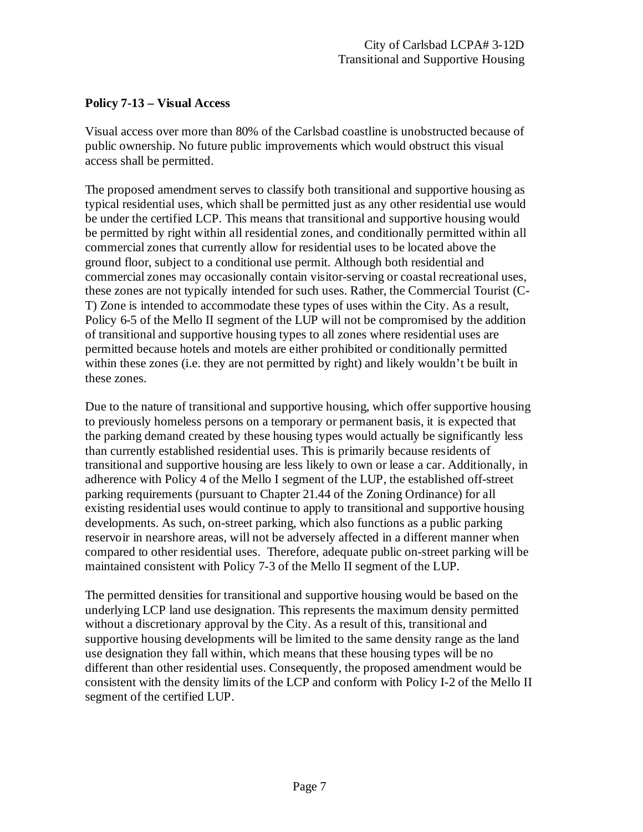#### **Policy 7-13 – Visual Access**

Visual access over more than 80% of the Carlsbad coastline is unobstructed because of public ownership. No future public improvements which would obstruct this visual access shall be permitted.

The proposed amendment serves to classify both transitional and supportive housing as typical residential uses, which shall be permitted just as any other residential use would be under the certified LCP. This means that transitional and supportive housing would be permitted by right within all residential zones, and conditionally permitted within all commercial zones that currently allow for residential uses to be located above the ground floor, subject to a conditional use permit. Although both residential and commercial zones may occasionally contain visitor-serving or coastal recreational uses, these zones are not typically intended for such uses. Rather, the Commercial Tourist (C-T) Zone is intended to accommodate these types of uses within the City. As a result, Policy 6-5 of the Mello II segment of the LUP will not be compromised by the addition of transitional and supportive housing types to all zones where residential uses are permitted because hotels and motels are either prohibited or conditionally permitted within these zones (i.e. they are not permitted by right) and likely wouldn't be built in these zones.

Due to the nature of transitional and supportive housing, which offer supportive housing to previously homeless persons on a temporary or permanent basis, it is expected that the parking demand created by these housing types would actually be significantly less than currently established residential uses. This is primarily because residents of transitional and supportive housing are less likely to own or lease a car. Additionally, in adherence with Policy 4 of the Mello I segment of the LUP, the established off-street parking requirements (pursuant to Chapter 21.44 of the Zoning Ordinance) for all existing residential uses would continue to apply to transitional and supportive housing developments. As such, on-street parking, which also functions as a public parking reservoir in nearshore areas, will not be adversely affected in a different manner when compared to other residential uses. Therefore, adequate public on-street parking will be maintained consistent with Policy 7-3 of the Mello II segment of the LUP.

The permitted densities for transitional and supportive housing would be based on the underlying LCP land use designation. This represents the maximum density permitted without a discretionary approval by the City. As a result of this, transitional and supportive housing developments will be limited to the same density range as the land use designation they fall within, which means that these housing types will be no different than other residential uses. Consequently, the proposed amendment would be consistent with the density limits of the LCP and conform with Policy I-2 of the Mello II segment of the certified LUP.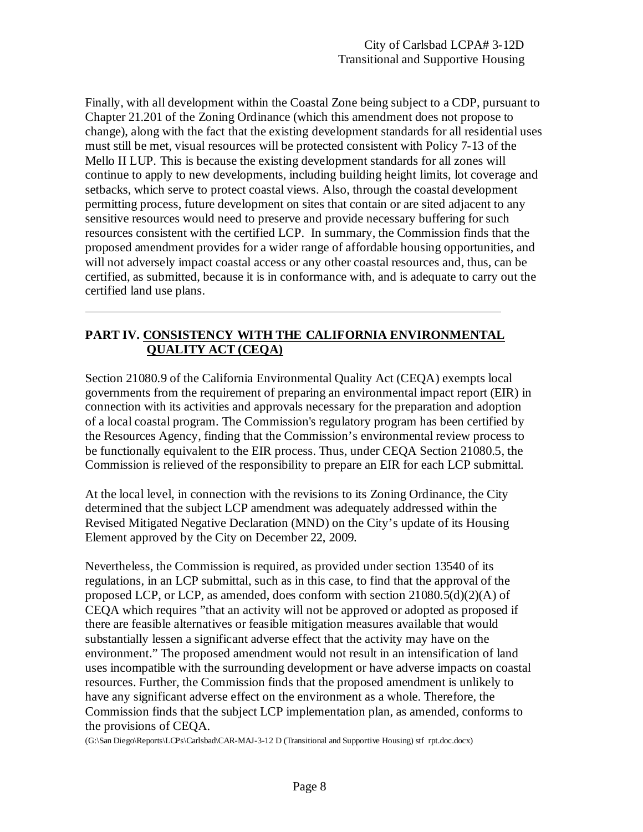Finally, with all development within the Coastal Zone being subject to a CDP, pursuant to Chapter 21.201 of the Zoning Ordinance (which this amendment does not propose to change), along with the fact that the existing development standards for all residential uses must still be met, visual resources will be protected consistent with Policy 7-13 of the Mello II LUP. This is because the existing development standards for all zones will continue to apply to new developments, including building height limits, lot coverage and setbacks, which serve to protect coastal views. Also, through the coastal development permitting process, future development on sites that contain or are sited adjacent to any sensitive resources would need to preserve and provide necessary buffering for such resources consistent with the certified LCP. In summary, the Commission finds that the proposed amendment provides for a wider range of affordable housing opportunities, and will not adversely impact coastal access or any other coastal resources and, thus, can be certified, as submitted, because it is in conformance with, and is adequate to carry out the certified land use plans.

#### **PART IV. CONSISTENCY WITH THE CALIFORNIA ENVIRONMENTAL QUALITY ACT (CEQA)**

Section 21080.9 of the California Environmental Quality Act (CEQA) exempts local governments from the requirement of preparing an environmental impact report (EIR) in connection with its activities and approvals necessary for the preparation and adoption of a local coastal program. The Commission's regulatory program has been certified by the Resources Agency, finding that the Commission's environmental review process to be functionally equivalent to the EIR process. Thus, under CEQA Section 21080.5, the Commission is relieved of the responsibility to prepare an EIR for each LCP submittal.

At the local level, in connection with the revisions to its Zoning Ordinance, the City determined that the subject LCP amendment was adequately addressed within the Revised Mitigated Negative Declaration (MND) on the City's update of its Housing Element approved by the City on December 22, 2009.

Nevertheless, the Commission is required, as provided under section 13540 of its regulations, in an LCP submittal, such as in this case, to find that the approval of the proposed LCP, or LCP, as amended, does conform with section 21080.5(d)(2)(A) of CEQA which requires "that an activity will not be approved or adopted as proposed if there are feasible alternatives or feasible mitigation measures available that would substantially lessen a significant adverse effect that the activity may have on the environment." The proposed amendment would not result in an intensification of land uses incompatible with the surrounding development or have adverse impacts on coastal resources. Further, the Commission finds that the proposed amendment is unlikely to have any significant adverse effect on the environment as a whole. Therefore, the Commission finds that the subject LCP implementation plan, as amended, conforms to the provisions of CEQA.

(G:\San Diego\Reports\LCPs\Carlsbad\CAR-MAJ-3-12 D (Transitional and Supportive Housing) stf rpt.doc.docx)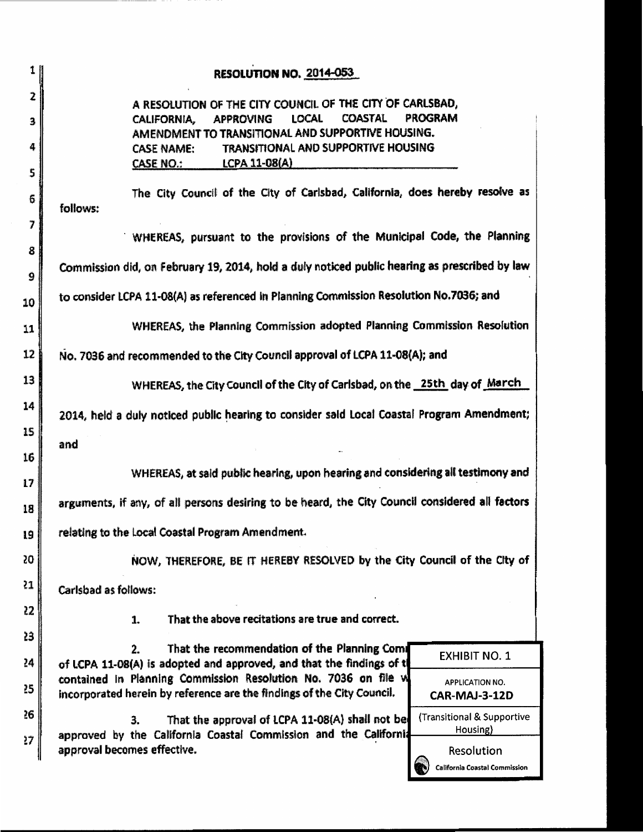| 1           | <b>RESOLUTION NO. 2014-053</b>                                                                                                                                                                                                                                                              |                                                    |
|-------------|---------------------------------------------------------------------------------------------------------------------------------------------------------------------------------------------------------------------------------------------------------------------------------------------|----------------------------------------------------|
| 2<br>3<br>4 | A RESOLUTION OF THE CITY COUNCIL OF THE CITY OF CARLSBAD,<br><b>LOCAL</b><br><b>COASTAL</b><br>CALIFORNIA,<br><b>APPROVING</b><br>AMENDMENT TO TRANSITIONAL AND SUPPORTIVE HOUSING.<br>TRANSITIONAL AND SUPPORTIVE HOUSING<br><b>CASE NAME:</b><br><u>LCPA 11-08(A)</u><br><b>CASE NO.:</b> | <b>PROGRAM</b>                                     |
| 5           |                                                                                                                                                                                                                                                                                             |                                                    |
| 6           | The City Council of the City of Carlsbad, California, does hereby resolve as<br>follows:                                                                                                                                                                                                    |                                                    |
| 7           |                                                                                                                                                                                                                                                                                             |                                                    |
| 8           | WHEREAS, pursuant to the provisions of the Municipal Code, the Planning                                                                                                                                                                                                                     |                                                    |
| 9           | Commission did, on February 19, 2014, hold a duly noticed public hearing as prescribed by law                                                                                                                                                                                               |                                                    |
| 10          | to consider LCPA 11-08(A) as referenced in Planning Commission Resolution No.7036; and                                                                                                                                                                                                      |                                                    |
| 11          | WHEREAS, the Planning Commission adopted Planning Commission Resolution                                                                                                                                                                                                                     |                                                    |
| 12          | No. 7036 and recommended to the City Council approval of LCPA 11-08(A); and                                                                                                                                                                                                                 |                                                    |
| 13          | WHEREAS, the City Council of the City of Carlsbad, on the 25th day of March                                                                                                                                                                                                                 |                                                    |
| 14          | 2014, held a duly noticed public hearing to consider said Local Coastal Program Amendment;                                                                                                                                                                                                  |                                                    |
| 15          |                                                                                                                                                                                                                                                                                             |                                                    |
| 16          | and                                                                                                                                                                                                                                                                                         |                                                    |
| 17          | WHEREAS, at said public hearing, upon hearing and considering all testimony and                                                                                                                                                                                                             |                                                    |
| 18          | arguments, if any, of all persons desiring to be heard, the City Council considered all factors                                                                                                                                                                                             |                                                    |
| 19          | relating to the Local Coastal Program Amendment.                                                                                                                                                                                                                                            |                                                    |
| 50          | NOW, THEREFORE, BE IT HEREBY RESOLVED by the City Council of the City of                                                                                                                                                                                                                    |                                                    |
| 21          | Carlsbad as follows:                                                                                                                                                                                                                                                                        |                                                    |
| 22          | That the above recitations are true and correct.<br>1.                                                                                                                                                                                                                                      |                                                    |
| 23          |                                                                                                                                                                                                                                                                                             |                                                    |
| 24          | That the recommendation of the Planning Comi<br>2.<br>of LCPA 11-08(A) is adopted and approved, and that the findings of t                                                                                                                                                                  | <b>EXHIBIT NO. 1</b>                               |
| 25          | contained in Planning Commission Resolution No. 7036 on file w<br>incorporated herein by reference are the findings of the City Council.                                                                                                                                                    | <b>APPLICATION NO.</b><br>CAR-MAJ-3-12D            |
| 26          | That the approval of LCPA 11-08(A) shall not be<br>3.                                                                                                                                                                                                                                       | (Transitional & Supportive                         |
| 27          | approved by the California Coastal Commission and the California                                                                                                                                                                                                                            | Housing)                                           |
|             | approval becomes effective.                                                                                                                                                                                                                                                                 | Resolution<br><b>California Coastal Commission</b> |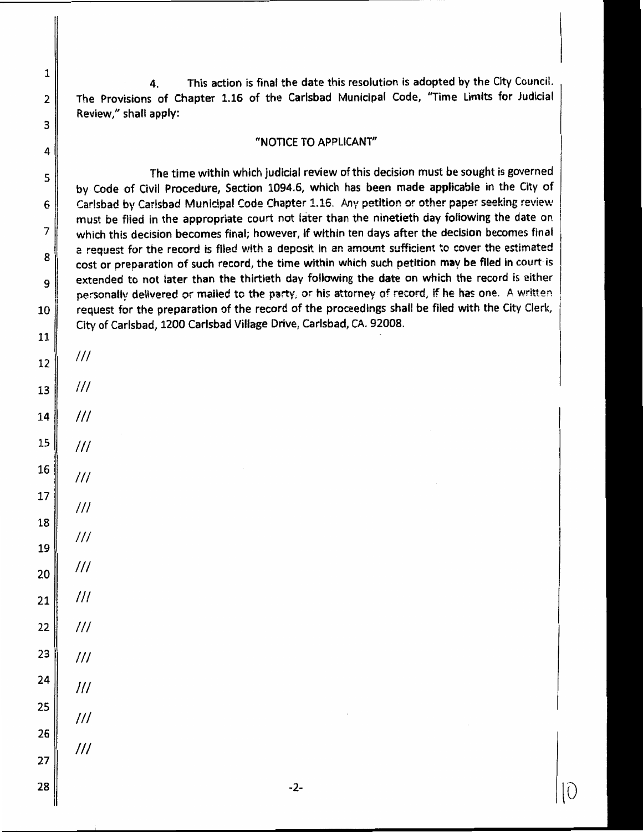This action is final the date this resolution is adopted by the City Council. 4. The Provisions of Chapter 1.16 of the Carlsbad Municipal Code, "Time Limits for Judicial Review," shall apply:

#### "NOTICE TO APPLICANT"

The time within which judicial review of this decision must be sought is governed by Code of Civil Procedure, Section 1094.6, which has been made applicable in the City of Carlsbad by Carlsbad Municipal Code Chapter 1.16. Any petition or other paper seeking review must be filed in the appropriate court not later than the ninetieth day following the date on which this decision becomes final; however, if within ten days after the decision becomes final a request for the record is filed with a deposit in an amount sufficient to cover the estimated cost or preparation of such record, the time within which such petition may be filed in court is extended to not later than the thirtieth day following the date on which the record is either personally delivered or mailed to the party, or his attorney of record, if he has one. A written request for the preparation of the record of the proceedings shall be filed with the City Clerk, City of Carlsbad, 1200 Carlsbad Village Drive, Carlsbad, CA. 92008.

 $III$  $^{\prime\prime\prime}$  $III$  $III$  $III$  $\frac{1}{1}$  $III$  $III$ 

1

 $\mathbf 2$ 

3

4

5

6

7

8

9

10

11

 $12$ 

13

14

15

16

17

18

19

20

- $III$ 21
- $III$ 22 23  $III$
- 24  $^{\prime\prime\prime}$
- 25  $III$ 26
- $^{\prime\prime\prime}$ 27

28

 $-2-$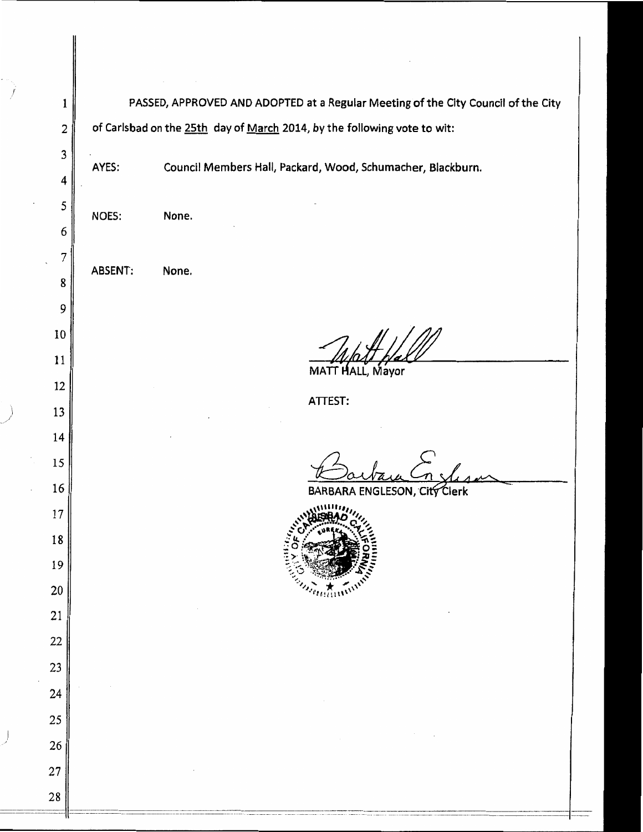PASSED, APPROVED AND ADOPTED at a Regular Meeting of the City Council of the City  $\mathbf{1}$ of Carlsbad on the 25th day of March 2014, by the following vote to wit:  $\overline{2}$  $\mathbf{3}$ Council Members Hall, Packard, Wood, Schumacher, Blackburn. AYES:  $\overline{4}$ 5 NOES: None. 6  $\overline{7}$ ABSENT: None. 8 9 10 11 MATT HALL, Mayor 12 ATTEST: 13 14 15 16 City Clerk **BARBA** ENGLESON. 17 18 19 20 21 22 23 24 25 26 27 28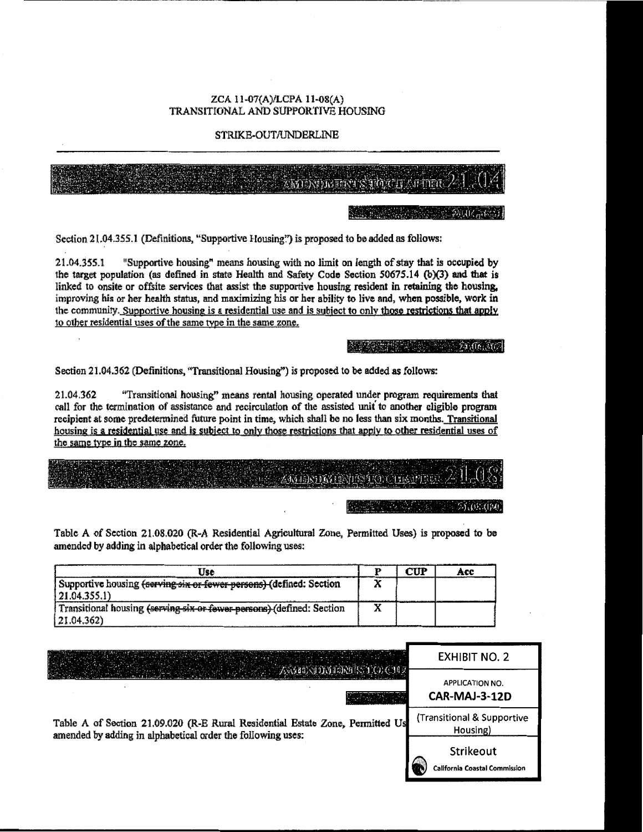#### ZCA 11-07(A)/LCPA 11-08(A) TRANSITIONAL AND SUPPORTIVE HOUSING

#### STRIKE-OUT/UNDERLINE

| Z) | <u>ان ال</u> |
|----|--------------|
|----|--------------|

Section 21.04.355.1 (Definitions, "Supportive Housing?") is proposed to be added as follows:

"Supportive housing" means housing with no limit on length of stay that is occupied by 21.04.355.1 the target population (as defined in state Health and Safety Code Section 50675.14 (b)(3) and that is linked to onsite or offsite services that assist the supportive housing resident in retaining the housing. improving his or her health status, and maximizing his or her ability to live and, when possible, work in the community. Supportive housing is a residential use and is subject to only those restrictions that apply to other residential uses of the same type in the same zone.

Section 21.04.362 (Definitions, "Transitional Housing") is proposed to be added as follows:

"Transitional housing" means rental housing operated under program requirements that 21.04.362 call for the termination of assistance and recirculation of the assisted unit to another eligible program recipient at some predetermined future point in time, which shall be no less than six months. Transitional housing is a residential use and is subject to only those restrictions that apply to other residential uses of the same type in the same zone.

# **ANTIBOLY DATE**

 $500000$ 

Table A of Section 21.08.020 (R-A Residential Agricultural Zone, Permitted Uses) is proposed to be amended by adding in alphabetical order the following uses:

| Use                                                                   | CUP | ACC |
|-----------------------------------------------------------------------|-----|-----|
| Supportive housing (serving six or fewer persons) (defined: Section   |     |     |
| 21.04.355.1                                                           |     |     |
| Transitional housing (serving six or fewer persons) (defined: Section |     |     |
| $ 21.04.362\rangle$                                                   |     |     |

|                                                                                                                                              | <b>EXHIBIT NO. 2</b>                              |
|----------------------------------------------------------------------------------------------------------------------------------------------|---------------------------------------------------|
|                                                                                                                                              | <b>APPLICATION NO.</b><br>CAR-MAJ-3-12D           |
| Table A of Section 21.09.020 (R-E Rural Residential Estate Zone, Permitted Us<br>amended by adding in alphabetical order the following uses: | (Transitional & Supportive<br>Housing)            |
|                                                                                                                                              | Strikeout<br><b>California Coastal Commission</b> |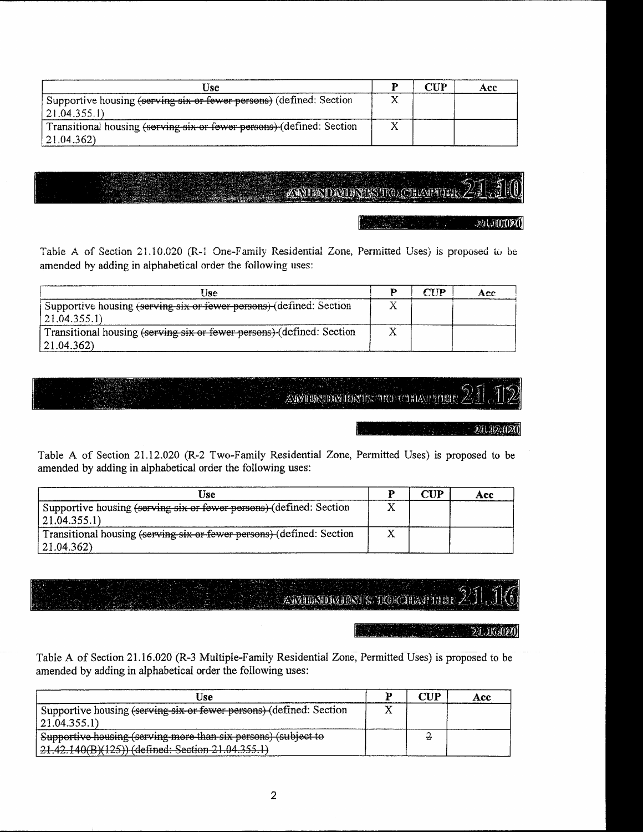| Jse                                                                            | $\boldsymbol{\gamma}$ tid | A ee |
|--------------------------------------------------------------------------------|---------------------------|------|
| Supportive housing <del>(serving six or fewer persons)</del> (defined: Section |                           |      |
| 21.04.355.1                                                                    |                           |      |
| Transitional housing (serving six or fewer persons) (defined: Section          |                           |      |
| $\vert 21.04.362 \rangle$                                                      |                           |      |

### **ZAVIERIDATION IN TRO CHEAPPILE**R

-24500020

Table A of Section 21.10.020 (R-1 One-Family Residential Zone, Permitted Uses) is proposed to be amended by adding in alphabetical order the following uses:

| Hse                                                                   | ъ | $\boldsymbol{\mathsf{CID}}$ | A ce |
|-----------------------------------------------------------------------|---|-----------------------------|------|
| Supportive housing (serving six or fewer persons) (defined: Section   |   |                             |      |
| (21.04.355.1)                                                         |   |                             |      |
| Transitional housing (serving six or fewer persons) (defined: Section |   |                             |      |
| $ 21.04.362\rangle$                                                   |   |                             |      |

### AMMIDAMIDAMINTIS TROVCHIAMPTHER

#### 241,192,000

Table A of Section 21.12.020 (R-2 Two-Family Residential Zone, Permitted Uses) is proposed to be amended by adding in alphabetical order the following uses:

| Use                                                                   | ${\bf CUP}$ | Acc |
|-----------------------------------------------------------------------|-------------|-----|
| Supportive housing (serving six or fewer persons) (defined: Section   |             |     |
| $ 21.04.355.1\rangle$                                                 |             |     |
| Transitional housing (serving six or fewer persons) (defined: Section |             |     |
| $ 21.04.362\rangle$                                                   |             |     |

AMIERIDMINIS HOCHAPTER

24.16.020

Table A of Section 21.16.020 (R-3 Multiple-Family Residential Zone, Permitted Uses) is proposed to be amended by adding in alphabetical order the following uses:

| Jse                                                                 | סזזי | Acc |
|---------------------------------------------------------------------|------|-----|
| Supportive housing (serving six or fewer persons) (defined: Section |      |     |
| 21.04.355.1                                                         |      |     |
| Supportive housing (serving more than six persons) (subject to      |      |     |
| 21.42.140(B)(125)) (defined: Section 21.04.355.1)                   |      |     |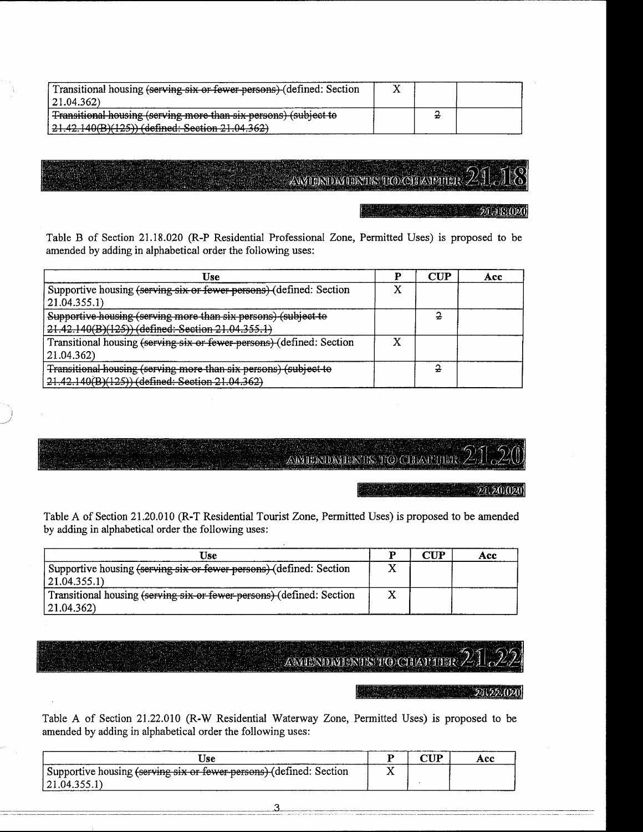| Transitional housing (serving six or fewer-persons) (defined: Section                                               |  |  |
|---------------------------------------------------------------------------------------------------------------------|--|--|
| 21.04.362)                                                                                                          |  |  |
| Transitional housing (serving more than six persons) (subject to                                                    |  |  |
| $21.42.140(B)(125)$ (defined: Section 21.04.362)<br><del>21. - 2.1 - 6(D), 125 // (achiled: Bechon 21:04:3027</del> |  |  |

### AWIERIDATERTIKS TKO CHEANPITER

21 18,020

Table B of Section 21.18.020 (R-P Residential Professional Zone, Permitted Uses) is proposed to be amended by adding in alphabetical order the following uses:

| Use                                                                   | <b>CUP</b> | Acc |
|-----------------------------------------------------------------------|------------|-----|
| Supportive housing (serving six or fewer persons) (defined: Section   |            |     |
| 21.04.355.1)                                                          |            |     |
| Supportive housing (serving more than six persons) (subject to        |            |     |
| 21.42.140(B)(125)) (defined: Section 21.04.355.1)                     |            |     |
| Transitional housing (serving six or fewer persons) (defined: Section |            |     |
| 21.04.362)                                                            |            |     |
| Transitional-housing (serving more than six persons) (subject to      |            |     |
| 21.42.140(B)(125)) (defined: Section 21.04.362)                       |            |     |

### **AMYTERIDMIERITS TO CHAP THER**

 $20.20,020$ 

Table A of Section 21.20.010 (R-T Residential Tourist Zone, Permitted Uses) is proposed to be amended by adding in alphabetical order the following uses:

| Use                                                                   | 'n | CUP | Acc |
|-----------------------------------------------------------------------|----|-----|-----|
| Supportive housing (serving six or fewer persons) (defined: Section   |    |     |     |
| $ 21.04.355.1\rangle$                                                 |    |     |     |
| Transitional housing (serving six or fewer persons) (defined: Section |    |     |     |
| $ 21.04.362\rangle$                                                   |    |     |     |

### AMIENDMIENTSTOCHAPHER

 $24.22.020$ 

Table A of Section 21.22.010 (R-W Residential Waterway Zone, Permitted Uses) is proposed to be amended by adding in alphabetical order the following uses:

| Jse                                                                 |  | Асс |
|---------------------------------------------------------------------|--|-----|
| Supportive housing (serving six or fewer persons) (defined: Section |  |     |
| 121.04.355.1                                                        |  |     |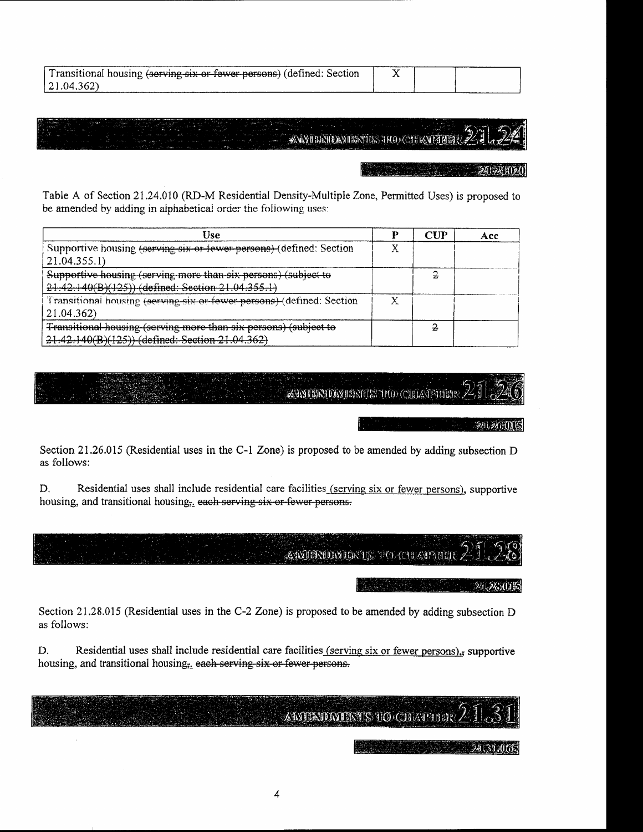| Transitional housing (serving six or fewer persons) (defined: Section |  |  |
|-----------------------------------------------------------------------|--|--|
| 21.04.362)                                                            |  |  |

# **ЖАХТЕЕ ПОЛУПЕТИЕ** НАО СЛЕВАТЕ НЕЕ

Table A of Section 21.24.010 (RD-M Residential Density-Multiple Zone, Permitted Uses) is proposed to be amended by adding in alphabetical order the following uses:

| Use                                                                   |   | CUP | A cc |
|-----------------------------------------------------------------------|---|-----|------|
| Supportive housing (serving six or tewer persons) (defined: Section   |   |     |      |
| 21.04,355.1                                                           |   |     |      |
| Supportive housing (serving more than six persons) (subject to        |   |     |      |
| 21.42.140(B)(125)) (defined: Section 21.04.355.1)                     |   |     |      |
| Transitional housing (serving six or fewer persons) (defined: Section | χ |     |      |
| 21.04.362)                                                            |   |     |      |
| Transitional housing (serving more than six persons) (subject to      |   |     |      |
| 21.42.140(B)(125)) (defined: Section 21.04.362)                       |   |     |      |

### **ZAMERIDA JERIJIS TRO CHLATPILLAR**

#### 刘烈加局

Section 21.26.015 (Residential uses in the C-1 Zone) is proposed to be amended by adding subsection D as follows:

D. Residential uses shall include residential care facilities (serving six or fewer persons), supportive housing, and transitional housing<sub>5</sub>, each serving six or fewer persons.

AMIENDEMIERTE TO CHEATHER

#### 如果加固

Section 21.28.015 (Residential uses in the C-2 Zone) is proposed to be amended by adding subsection D as follows:

D. Residential uses shall include residential care facilities (serving six or fewer persons), supportive housing, and transitional housing<sub>5</sub> each serving six or fewer persons.

## **AMIENDMIENTS TO CHAPTER**

#### 241314065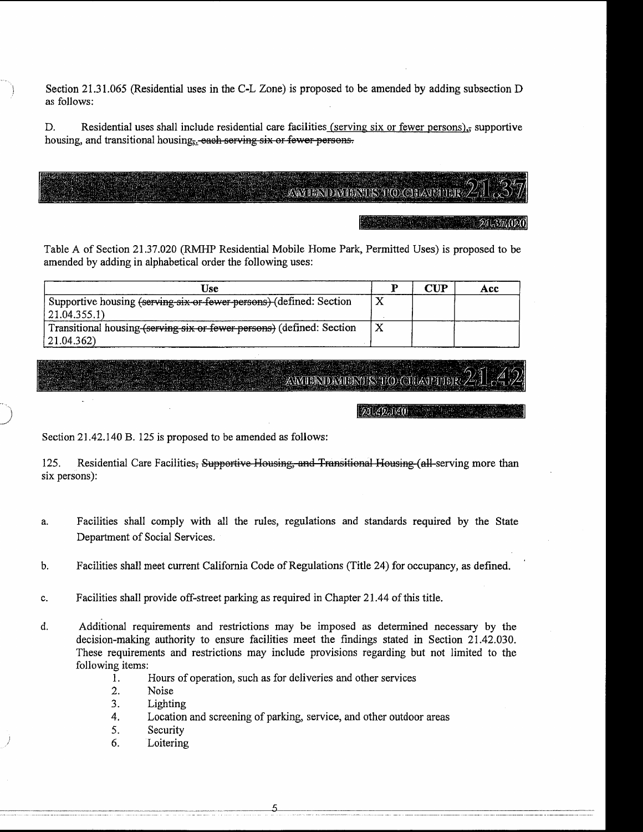Section 21.31.065 (Residential uses in the C-L Zone) is proposed to be amended by adding subsection D as follows:

D. Residential uses shall include residential care facilities (serving six or fewer persons), supportive housing, and transitional housing, each serving six or fewer persons.

### AWIERID WERTS TO CHAVET DR

21.37.020

Table A of Section 21.37.020 (RMHP Residential Mobile Home Park, Permitted Uses) is proposed to be amended by adding in alphabetical order the following uses:

| 'Jse                                                                  |   | CUP. | Acc |
|-----------------------------------------------------------------------|---|------|-----|
| Supportive housing (serving six or fewer persons) (defined: Section   | Χ |      |     |
| $ 21.04.355.1\rangle$                                                 |   |      |     |
| Transitional housing (serving six or fewer persons) (defined: Section | Χ |      |     |
| 21.04.362)                                                            |   |      |     |

## AWIERDAIERTES TO CHAVPIEH

 $[21.42.140]$ 

Section 21.42.140 B. 125 is proposed to be amended as follows:

Residential Care Facilities, Supportive Housing, and Transitional Housing (all-serving more than 125. six persons):

- Facilities shall comply with all the rules, regulations and standards required by the State a. Department of Social Services.
- Facilities shall meet current California Code of Regulations (Title 24) for occupancy, as defined. b.
- Facilities shall provide off-street parking as required in Chapter 21.44 of this title. c.
- Additional requirements and restrictions may be imposed as determined necessary by the d. decision-making authority to ensure facilities meet the findings stated in Section 21.42.030. These requirements and restrictions may include provisions regarding but not limited to the following items:
	- $1.$ Hours of operation, such as for deliveries and other services
	- $2.$ Noise
	- 3. Lighting
	- Location and screening of parking, service, and other outdoor areas 4.
	- Security 5.
	- Loitering 6.